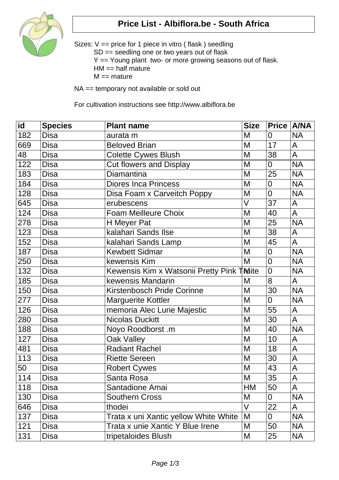

## **Price List - Albiflora.be - South Africa**

Sizes: V == price for 1 piece in vitro ( flask ) seedling SD == seedling one or two years out of flask Y == Young plant two- or more growing seasons out of flask.  $HM == half mature$  $M ==$  mature

NA == temporary not available or sold out

For cultivation instructions see http://www.albiflora.be

| id  | <b>Species</b> | <b>Plant name</b>                         | <b>Size</b> | Price   A/NA     |                |
|-----|----------------|-------------------------------------------|-------------|------------------|----------------|
| 182 | <b>Disa</b>    | aurata m                                  | M           | $\overline{0}$   | <b>NA</b>      |
| 669 | <b>Disa</b>    | <b>Beloved Brian</b>                      | M           | 17               | A              |
| 48  | <b>Disa</b>    | Colette Cywes Blush                       | M           | 38               | A              |
| 122 | <b>Disa</b>    | <b>Cut flowers and Display</b>            | M           | $\overline{0}$   | <b>NA</b>      |
| 183 | <b>Disa</b>    | <b>Diamantina</b>                         | M           | 25               | <b>NA</b>      |
| 184 | <b>Disa</b>    | <b>Diores Inca Princess</b>               | M           | $\mathbf 0$      | <b>NA</b>      |
| 128 | <b>Disa</b>    | Disa Foam x Carveitch Poppy               | M           | $\overline{0}$   | <b>NA</b>      |
| 645 | <b>Disa</b>    | erubescens                                | V           | 37               | A              |
| 124 | Disa           | <b>Foam Meilleure Choix</b>               | M           | 40               | A              |
| 278 | <b>Disa</b>    | H Meyer Pat                               | M           | 25               | <b>NA</b>      |
| 123 | <b>Disa</b>    | kalahari Sands Ilse                       | M           | 38               | A              |
| 152 | <b>Disa</b>    | kalahari Sands Lamp                       | M           | 45               | A              |
| 187 | <b>Disa</b>    | <b>Kewbett Sidmar</b>                     | M           | $\mathbf 0$      | <b>NA</b>      |
| 250 | <b>Disa</b>    | kewensis Kim                              | M           | $\mathbf 0$      | <b>NA</b>      |
| 132 | <b>Disa</b>    | Kewensis Kim x Watsonii Pretty Pink TMite |             | $\overline{0}$   | <b>NA</b>      |
| 185 | <b>Disa</b>    | kewensis Mandarin                         | M           | 8                | A              |
| 150 | <b>Disa</b>    | Kirstenbosch Pride Corinne                | M           | 30               | <b>NA</b>      |
| 277 | <b>Disa</b>    | <b>Marguerite Kottler</b>                 | M           | $\overline{0}$   | <b>NA</b>      |
| 126 | <b>Disa</b>    | memoria Alec Lurie Majestic               | M           | 55               | A              |
| 280 | <b>Disa</b>    | Nicolas Duckitt                           | M           | 30               | $\overline{A}$ |
| 188 | Disa           | Noyo Roodborst .m                         | M           | 40               | <b>NA</b>      |
| 127 | Disa           | Oak Valley                                | M           | 10               | A              |
| 481 | <b>Disa</b>    | <b>Radiant Rachel</b>                     | M           | 18               | A              |
| 113 | <b>Disa</b>    | <b>Riette Sereen</b>                      | M           | 30               | A              |
| 50  | <b>Disa</b>    | <b>Robert Cywes</b>                       | M           | 43               | A              |
| 114 | <b>Disa</b>    | Santa Rosa                                | M           | 35               | A              |
| 118 | Disa           | Santadione Amai                           | HM          | 50               | A              |
| 130 | Disa           | <b>Southern Cross</b>                     | M           | $\boldsymbol{0}$ | <b>NA</b>      |
| 646 | Disa           | thodei                                    | $\vee$      | 22               | A              |
| 137 | Disa           | Trata x uni Xantic yellow White White     | M           | $\mathbf 0$      | <b>NA</b>      |
| 121 | Disa           | Trata x unie Xantic Y Blue Irene          | M           | 50               | <b>NA</b>      |
| 131 | Disa           | tripetaloides Blush                       | M           | 25               | <b>NA</b>      |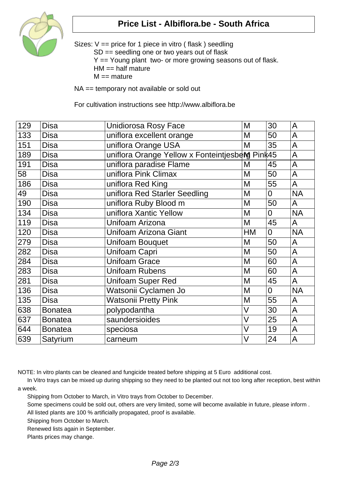

## **Price List - Albiflora.be - South Africa**

Sizes: V == price for 1 piece in vitro ( flask ) seedling SD == seedling one or two years out of flask Y == Young plant two- or more growing seasons out of flask.  $HM == half matter$  $M ==$  mature

NA == temporary not available or sold out

For cultivation instructions see http://www.albiflora.be

| 129 | <b>Disa</b>    | <b>Unidiorosa Rosy Face</b>                     | M  | 30             | A         |
|-----|----------------|-------------------------------------------------|----|----------------|-----------|
| 133 | <b>Disa</b>    | uniflora excellent orange                       | M  | 50             | A         |
| 151 | <b>Disa</b>    | uniflora Orange USA                             | M  | 35             | A         |
| 189 | <b>Disa</b>    | uniflora Orange Yellow x Fonteintjesberg Pink45 |    |                | A         |
| 191 | <b>Disa</b>    | uniflora paradise Flame                         | M  | 45             | A         |
| 58  | <b>Disa</b>    | uniflora Pink Climax                            | M  | 50             | A         |
| 186 | <b>Disa</b>    | uniflora Red King                               | M  | 55             | A         |
| 49  | <b>Disa</b>    | uniflora Red Starler Seedling                   | M  | $\overline{0}$ | <b>NA</b> |
| 190 | <b>Disa</b>    | uniflora Ruby Blood m                           | M  | 50             | A         |
| 134 | <b>Disa</b>    | uniflora Xantic Yellow                          | M  | $\overline{0}$ | <b>NA</b> |
| 119 | <b>Disa</b>    | Unifoam Arizona                                 | M  | 45             | A         |
| 120 | <b>Disa</b>    | Unifoam Arizona Giant                           | HM | $\overline{0}$ | <b>NA</b> |
| 279 | <b>Disa</b>    | <b>Unifoam Bouquet</b>                          | M  | 50             | A         |
| 282 | <b>Disa</b>    | Unifoam Capri                                   | M  | 50             | A         |
| 284 | <b>Disa</b>    | <b>Unifoam Grace</b>                            | M  | 60             | A         |
| 283 | <b>Disa</b>    | <b>Unifoam Rubens</b>                           | M  | 60             | A         |
| 281 | <b>Disa</b>    | <b>Unifoam Super Red</b>                        | M  | 45             | A         |
| 136 | <b>Disa</b>    | Watsonii Cyclamen Jo                            | M  | $\overline{0}$ | <b>NA</b> |
| 135 | <b>Disa</b>    | Watsonii Pretty Pink                            | M  | 55             | A         |
| 638 | <b>Bonatea</b> | polypodantha                                    | V  | 30             | A         |
| 637 | <b>Bonatea</b> | saundersioides                                  | V  | 25             | A         |
| 644 | <b>Bonatea</b> | speciosa                                        | V  | 19             | A         |
| 639 | Satyrium       | carneum                                         | V  | 24             | A         |

NOTE: In vitro plants can be cleaned and fungicide treated before shipping at 5 Euro additional cost.

 In Vitro trays can be mixed up during shipping so they need to be planted out not too long after reception, best within a week.

Shipping from October to March, in Vitro trays from October to December.

Some specimens could be sold out, others are very limited, some will become available in future, please inform .

All listed plants are 100 % artificially propagated, proof is available.

Shipping from October to March.

Renewed lists again in September.

Plants prices may change.